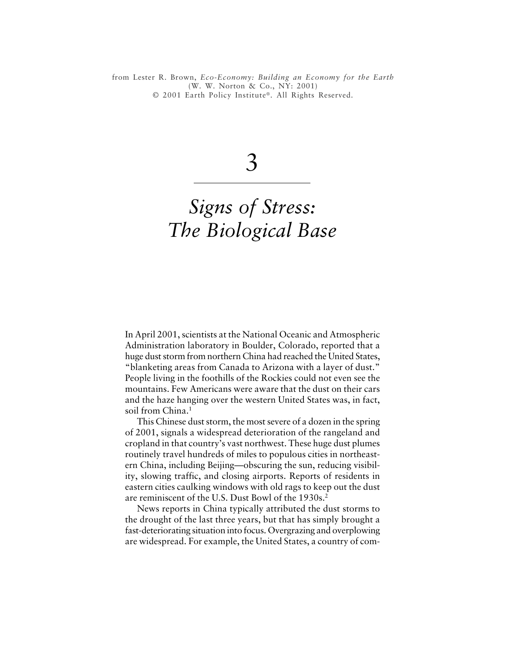*Signs of Stress: The Biological Base 49* © 2001 Earth Policy Institute®. All Rights Reserved.from Lester R. Brown, *Eco-Economy: Building an Economy for the Earth* (W. W. Norton & Co., NY: 2001)

3

# *Signs of Stress: The Biological Base*

In April 2001, scientists at the National Oceanic and Atmospheric Administration laboratory in Boulder, Colorado, reported that a huge dust storm from northern China had reached the United States, "blanketing areas from Canada to Arizona with a layer of dust." People living in the foothills of the Rockies could not even see the mountains. Few Americans were aware that the dust on their cars and the haze hanging over the western United States was, in fact, soil from China.<sup>1</sup>

This Chinese dust storm, the most severe of a dozen in the spring of 2001, signals a widespread deterioration of the rangeland and cropland in that country's vast northwest. These huge dust plumes routinely travel hundreds of miles to populous cities in northeastern China, including Beijing—obscuring the sun, reducing visibility, slowing traffic, and closing airports. Reports of residents in eastern cities caulking windows with old rags to keep out the dust are reminiscent of the U.S. Dust Bowl of the 1930s.<sup>2</sup>

News reports in China typically attributed the dust storms to the drought of the last three years, but that has simply brought a fast-deteriorating situation into focus. Overgrazing and overplowing are widespread. For example, the United States, a country of com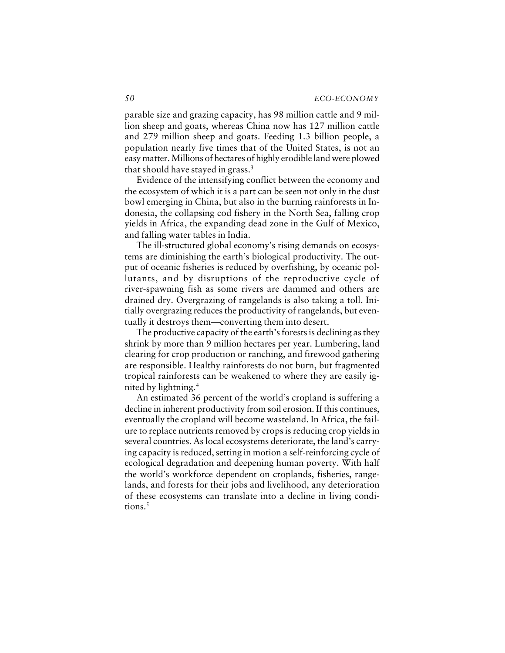parable size and grazing capacity, has 98 million cattle and 9 million sheep and goats, whereas China now has 127 million cattle and 279 million sheep and goats. Feeding 1.3 billion people, a population nearly five times that of the United States, is not an easy matter. Millions of hectares of highly erodible land were plowed that should have stayed in grass.<sup>3</sup>

Evidence of the intensifying conflict between the economy and the ecosystem of which it is a part can be seen not only in the dust bowl emerging in China, but also in the burning rainforests in Indonesia, the collapsing cod fishery in the North Sea, falling crop yields in Africa, the expanding dead zone in the Gulf of Mexico, and falling water tables in India.

The ill-structured global economy's rising demands on ecosystems are diminishing the earth's biological productivity. The output of oceanic fisheries is reduced by overfishing, by oceanic pollutants, and by disruptions of the reproductive cycle of river-spawning fish as some rivers are dammed and others are drained dry. Overgrazing of rangelands is also taking a toll. Initially overgrazing reduces the productivity of rangelands, but eventually it destroys them—converting them into desert.

The productive capacity of the earth's forests is declining as they shrink by more than 9 million hectares per year. Lumbering, land clearing for crop production or ranching, and firewood gathering are responsible. Healthy rainforests do not burn, but fragmented tropical rainforests can be weakened to where they are easily ignited by lightning.<sup>4</sup>

An estimated 36 percent of the world's cropland is suffering a decline in inherent productivity from soil erosion. If this continues, eventually the cropland will become wasteland. In Africa, the failure to replace nutrients removed by crops is reducing crop yields in several countries. As local ecosystems deteriorate, the land's carrying capacity is reduced, setting in motion a self-reinforcing cycle of ecological degradation and deepening human poverty. With half the world's workforce dependent on croplands, fisheries, rangelands, and forests for their jobs and livelihood, any deterioration of these ecosystems can translate into a decline in living conditions.<sup>5</sup>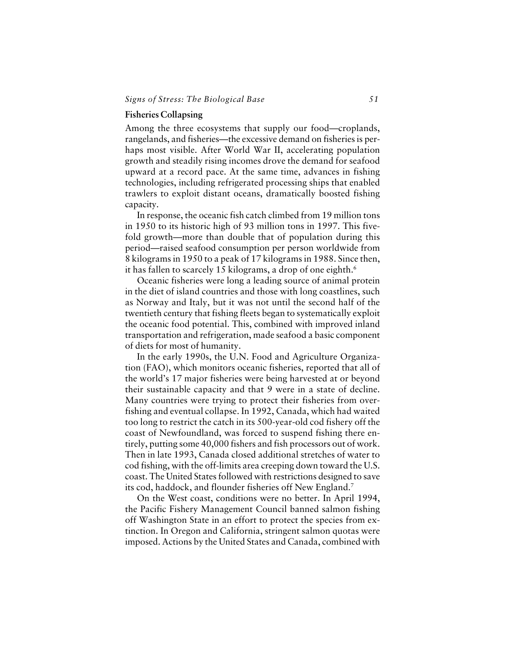# **Fisheries Collapsing**

Among the three ecosystems that supply our food—croplands, rangelands, and fisheries—the excessive demand on fisheries is perhaps most visible. After World War II, accelerating population growth and steadily rising incomes drove the demand for seafood upward at a record pace. At the same time, advances in fishing technologies, including refrigerated processing ships that enabled trawlers to exploit distant oceans, dramatically boosted fishing capacity.

In response, the oceanic fish catch climbed from 19 million tons in 1950 to its historic high of 93 million tons in 1997. This fivefold growth—more than double that of population during this period—raised seafood consumption per person worldwide from 8 kilograms in 1950 to a peak of 17 kilograms in 1988. Since then, it has fallen to scarcely 15 kilograms, a drop of one eighth.<sup>6</sup>

Oceanic fisheries were long a leading source of animal protein in the diet of island countries and those with long coastlines, such as Norway and Italy, but it was not until the second half of the twentieth century that fishing fleets began to systematically exploit the oceanic food potential. This, combined with improved inland transportation and refrigeration, made seafood a basic component of diets for most of humanity.

In the early 1990s, the U.N. Food and Agriculture Organization (FAO), which monitors oceanic fisheries, reported that all of the world's 17 major fisheries were being harvested at or beyond their sustainable capacity and that 9 were in a state of decline. Many countries were trying to protect their fisheries from overfishing and eventual collapse. In 1992, Canada, which had waited too long to restrict the catch in its 500-year-old cod fishery off the coast of Newfoundland, was forced to suspend fishing there entirely, putting some 40,000 fishers and fish processors out of work. Then in late 1993, Canada closed additional stretches of water to cod fishing, with the off-limits area creeping down toward the U.S. coast. The United States followed with restrictions designed to save its cod, haddock, and flounder fisheries off New England.<sup>7</sup>

On the West coast, conditions were no better. In April 1994, the Pacific Fishery Management Council banned salmon fishing off Washington State in an effort to protect the species from extinction. In Oregon and California, stringent salmon quotas were imposed. Actions by the United States and Canada, combined with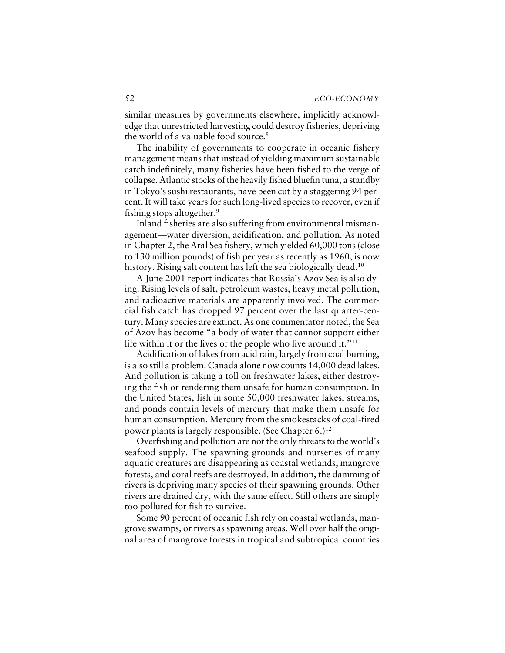similar measures by governments elsewhere, implicitly acknowledge that unrestricted harvesting could destroy fisheries, depriving the world of a valuable food source.<sup>8</sup>

The inability of governments to cooperate in oceanic fishery management means that instead of yielding maximum sustainable catch indefinitely, many fisheries have been fished to the verge of collapse. Atlantic stocks of the heavily fished bluefin tuna, a standby in Tokyo's sushi restaurants, have been cut by a staggering 94 percent. It will take years for such long-lived species to recover, even if fishing stops altogether.<sup>9</sup>

Inland fisheries are also suffering from environmental mismanagement—water diversion, acidification, and pollution. As noted in Chapter 2, the Aral Sea fishery, which yielded 60,000 tons (close to 130 million pounds) of fish per year as recently as 1960, is now history. Rising salt content has left the sea biologically dead.<sup>10</sup>

A June 2001 report indicates that Russia's Azov Sea is also dying. Rising levels of salt, petroleum wastes, heavy metal pollution, and radioactive materials are apparently involved. The commercial fish catch has dropped 97 percent over the last quarter-century. Many species are extinct. As one commentator noted, the Sea of Azov has become "a body of water that cannot support either life within it or the lives of the people who live around it."<sup>11</sup>

Acidification of lakes from acid rain, largely from coal burning, is also still a problem. Canada alone now counts 14,000 dead lakes. And pollution is taking a toll on freshwater lakes, either destroying the fish or rendering them unsafe for human consumption. In the United States, fish in some 50,000 freshwater lakes, streams, and ponds contain levels of mercury that make them unsafe for human consumption. Mercury from the smokestacks of coal-fired power plants is largely responsible. (See Chapter  $6.$ )<sup>12</sup>

Overfishing and pollution are not the only threats to the world's seafood supply. The spawning grounds and nurseries of many aquatic creatures are disappearing as coastal wetlands, mangrove forests, and coral reefs are destroyed. In addition, the damming of rivers is depriving many species of their spawning grounds. Other rivers are drained dry, with the same effect. Still others are simply too polluted for fish to survive.

Some 90 percent of oceanic fish rely on coastal wetlands, mangrove swamps, or rivers as spawning areas. Well over half the original area of mangrove forests in tropical and subtropical countries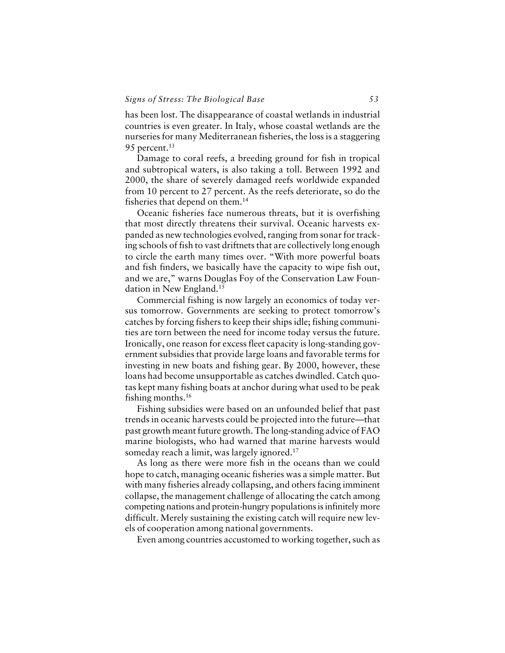has been lost. The disappearance of coastal wetlands in industrial countries is even greater. In Italy, whose coastal wetlands are the nurseries for many Mediterranean fisheries, the loss is a staggering 95 percent.<sup>13</sup>

Damage to coral reefs, a breeding ground for fish in tropical and subtropical waters, is also taking a toll. Between 1992 and 2000, the share of severely damaged reefs worldwide expanded from 10 percent to 27 percent. As the reefs deteriorate, so do the fisheries that depend on them.<sup>14</sup>

Oceanic fisheries face numerous threats, but it is overfishing that most directly threatens their survival. Oceanic harvests expanded as new technologies evolved, ranging from sonar for tracking schools of fish to vast driftnets that are collectively long enough to circle the earth many times over. "With more powerful boats and fish finders, we basically have the capacity to wipe fish out, and we are," warns Douglas Foy of the Conservation Law Foundation in New England.<sup>15</sup>

Commercial fishing is now largely an economics of today versus tomorrow. Governments are seeking to protect tomorrow's catches by forcing fishers to keep their ships idle; fishing communities are torn between the need for income today versus the future. Ironically, one reason for excess fleet capacity is long-standing government subsidies that provide large loans and favorable terms for investing in new boats and fishing gear. By 2000, however, these loans had become unsupportable as catches dwindled. Catch quotas kept many fishing boats at anchor during what used to be peak fishing months.<sup>16</sup>

Fishing subsidies were based on an unfounded belief that past trends in oceanic harvests could be projected into the future—that past growth meant future growth. The long-standing advice of FAO marine biologists, who had warned that marine harvests would someday reach a limit, was largely ignored.<sup>17</sup>

As long as there were more fish in the oceans than we could hope to catch, managing oceanic fisheries was a simple matter. But with many fisheries already collapsing, and others facing imminent collapse, the management challenge of allocating the catch among competing nations and protein-hungry populations is infinitely more difficult. Merely sustaining the existing catch will require new levels of cooperation among national governments.

Even among countries accustomed to working together, such as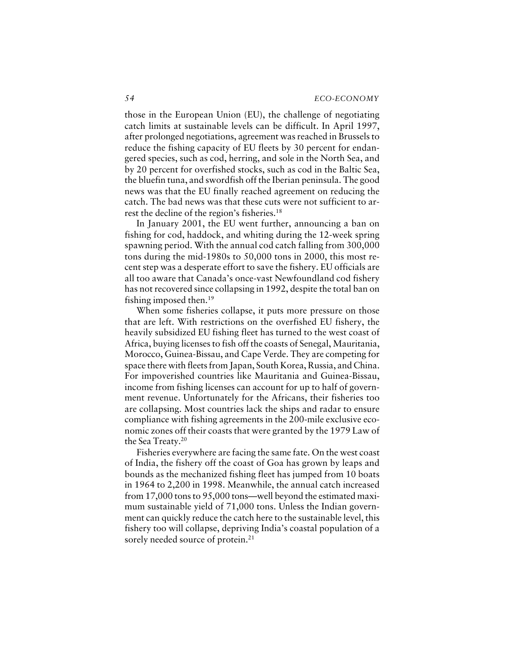those in the European Union (EU), the challenge of negotiating catch limits at sustainable levels can be difficult. In April 1997, after prolonged negotiations, agreement was reached in Brussels to reduce the fishing capacity of EU fleets by 30 percent for endangered species, such as cod, herring, and sole in the North Sea, and by 20 percent for overfished stocks, such as cod in the Baltic Sea, the bluefin tuna, and swordfish off the Iberian peninsula. The good news was that the EU finally reached agreement on reducing the catch. The bad news was that these cuts were not sufficient to arrest the decline of the region's fisheries.<sup>18</sup>

In January 2001, the EU went further, announcing a ban on fishing for cod, haddock, and whiting during the 12-week spring spawning period. With the annual cod catch falling from 300,000 tons during the mid-1980s to 50,000 tons in 2000, this most recent step was a desperate effort to save the fishery. EU officials are all too aware that Canada's once-vast Newfoundland cod fishery has not recovered since collapsing in 1992, despite the total ban on fishing imposed then.<sup>19</sup>

When some fisheries collapse, it puts more pressure on those that are left. With restrictions on the overfished EU fishery, the heavily subsidized EU fishing fleet has turned to the west coast of Africa, buying licenses to fish off the coasts of Senegal, Mauritania, Morocco, Guinea-Bissau, and Cape Verde. They are competing for space there with fleets from Japan, South Korea, Russia, and China. For impoverished countries like Mauritania and Guinea-Bissau, income from fishing licenses can account for up to half of government revenue. Unfortunately for the Africans, their fisheries too are collapsing. Most countries lack the ships and radar to ensure compliance with fishing agreements in the 200-mile exclusive economic zones off their coasts that were granted by the 1979 Law of the Sea Treaty.<sup>20</sup>

Fisheries everywhere are facing the same fate. On the west coast of India, the fishery off the coast of Goa has grown by leaps and bounds as the mechanized fishing fleet has jumped from 10 boats in 1964 to 2,200 in 1998. Meanwhile, the annual catch increased from 17,000 tons to 95,000 tons—well beyond the estimated maximum sustainable yield of 71,000 tons. Unless the Indian government can quickly reduce the catch here to the sustainable level, this fishery too will collapse, depriving India's coastal population of a sorely needed source of protein.<sup>21</sup>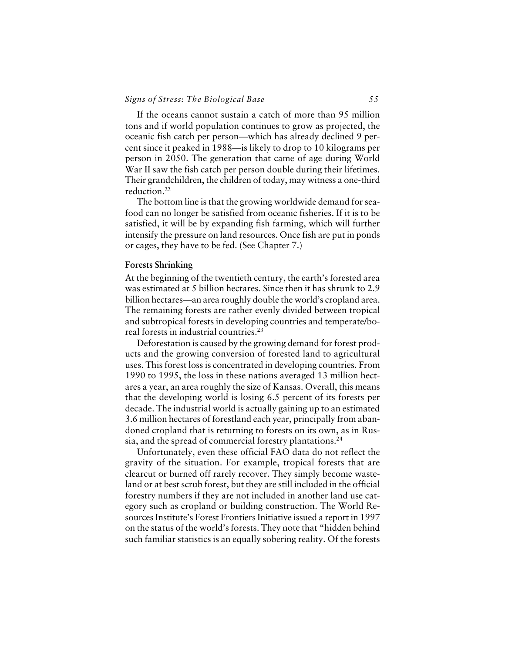# *Signs of Stress: The Biological Base 55*

If the oceans cannot sustain a catch of more than 95 million tons and if world population continues to grow as projected, the oceanic fish catch per person—which has already declined 9 percent since it peaked in 1988—is likely to drop to 10 kilograms per person in 2050. The generation that came of age during World War II saw the fish catch per person double during their lifetimes. Their grandchildren, the children of today, may witness a one-third reduction.<sup>22</sup>

The bottom line is that the growing worldwide demand for seafood can no longer be satisfied from oceanic fisheries. If it is to be satisfied, it will be by expanding fish farming, which will further intensify the pressure on land resources. Once fish are put in ponds or cages, they have to be fed. (See Chapter 7.)

## **Forests Shrinking**

At the beginning of the twentieth century, the earth's forested area was estimated at 5 billion hectares. Since then it has shrunk to 2.9 billion hectares—an area roughly double the world's cropland area. The remaining forests are rather evenly divided between tropical and subtropical forests in developing countries and temperate/boreal forests in industrial countries.<sup>23</sup>

Deforestation is caused by the growing demand for forest products and the growing conversion of forested land to agricultural uses. This forest loss is concentrated in developing countries. From 1990 to 1995, the loss in these nations averaged 13 million hectares a year, an area roughly the size of Kansas. Overall, this means that the developing world is losing 6.5 percent of its forests per decade. The industrial world is actually gaining up to an estimated 3.6 million hectares of forestland each year, principally from abandoned cropland that is returning to forests on its own, as in Russia, and the spread of commercial forestry plantations.<sup>24</sup>

Unfortunately, even these official FAO data do not reflect the gravity of the situation. For example, tropical forests that are clearcut or burned off rarely recover. They simply become wasteland or at best scrub forest, but they are still included in the official forestry numbers if they are not included in another land use category such as cropland or building construction. The World Resources Institute's Forest Frontiers Initiative issued a report in 1997 on the status of the world's forests. They note that "hidden behind such familiar statistics is an equally sobering reality. Of the forests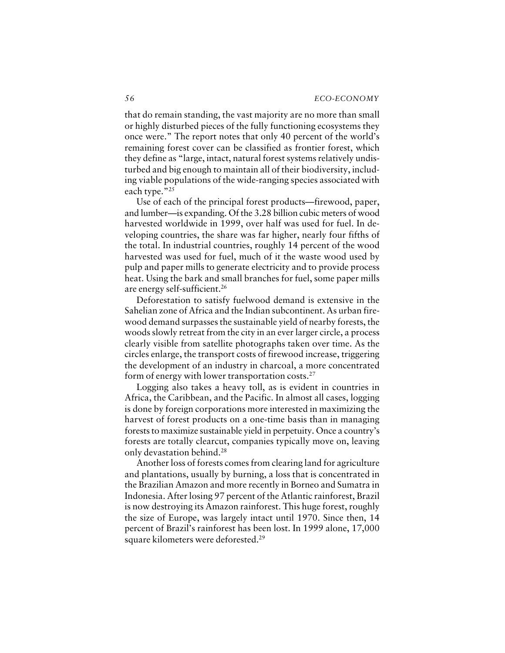that do remain standing, the vast majority are no more than small or highly disturbed pieces of the fully functioning ecosystems they once were." The report notes that only 40 percent of the world's remaining forest cover can be classified as frontier forest, which they define as "large, intact, natural forest systems relatively undisturbed and big enough to maintain all of their biodiversity, including viable populations of the wide-ranging species associated with each type."25

Use of each of the principal forest products—firewood, paper, and lumber—is expanding. Of the 3.28 billion cubic meters of wood harvested worldwide in 1999, over half was used for fuel. In developing countries, the share was far higher, nearly four fifths of the total. In industrial countries, roughly 14 percent of the wood harvested was used for fuel, much of it the waste wood used by pulp and paper mills to generate electricity and to provide process heat. Using the bark and small branches for fuel, some paper mills are energy self-sufficient.<sup>26</sup>

Deforestation to satisfy fuelwood demand is extensive in the Sahelian zone of Africa and the Indian subcontinent. As urban firewood demand surpasses the sustainable yield of nearby forests, the woods slowly retreat from the city in an ever larger circle, a process clearly visible from satellite photographs taken over time. As the circles enlarge, the transport costs of firewood increase, triggering the development of an industry in charcoal, a more concentrated form of energy with lower transportation costs.<sup>27</sup>

Logging also takes a heavy toll, as is evident in countries in Africa, the Caribbean, and the Pacific. In almost all cases, logging is done by foreign corporations more interested in maximizing the harvest of forest products on a one-time basis than in managing forests to maximize sustainable yield in perpetuity. Once a country's forests are totally clearcut, companies typically move on, leaving only devastation behind.<sup>28</sup>

Another loss of forests comes from clearing land for agriculture and plantations, usually by burning, a loss that is concentrated in the Brazilian Amazon and more recently in Borneo and Sumatra in Indonesia. After losing 97 percent of the Atlantic rainforest, Brazil is now destroying its Amazon rainforest. This huge forest, roughly the size of Europe, was largely intact until 1970. Since then, 14 percent of Brazil's rainforest has been lost. In 1999 alone, 17,000 square kilometers were deforested.<sup>29</sup>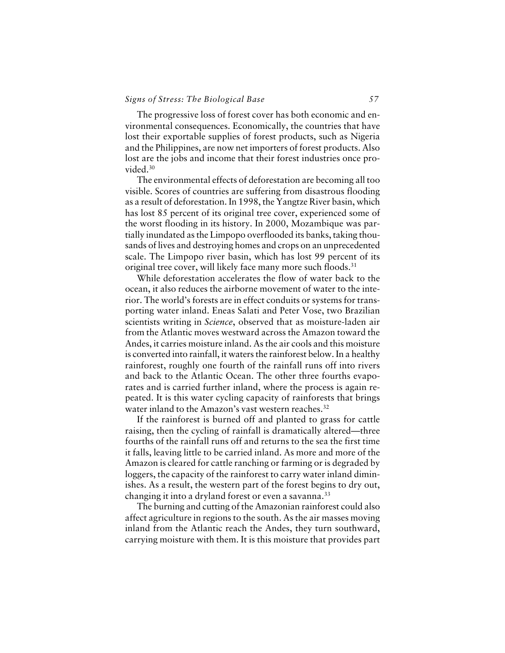# *Signs of Stress: The Biological Base 57*

The progressive loss of forest cover has both economic and environmental consequences. Economically, the countries that have lost their exportable supplies of forest products, such as Nigeria and the Philippines, are now net importers of forest products. Also lost are the jobs and income that their forest industries once provided.<sup>30</sup>

The environmental effects of deforestation are becoming all too visible. Scores of countries are suffering from disastrous flooding as a result of deforestation. In 1998, the Yangtze River basin, which has lost 85 percent of its original tree cover, experienced some of the worst flooding in its history. In 2000, Mozambique was partially inundated as the Limpopo overflooded its banks, taking thousands of lives and destroying homes and crops on an unprecedented scale. The Limpopo river basin, which has lost 99 percent of its original tree cover, will likely face many more such floods.<sup>31</sup>

While deforestation accelerates the flow of water back to the ocean, it also reduces the airborne movement of water to the interior. The world's forests are in effect conduits or systems for transporting water inland. Eneas Salati and Peter Vose, two Brazilian scientists writing in *Science*, observed that as moisture-laden air from the Atlantic moves westward across the Amazon toward the Andes, it carries moisture inland. As the air cools and this moisture is converted into rainfall, it waters the rainforest below. In a healthy rainforest, roughly one fourth of the rainfall runs off into rivers and back to the Atlantic Ocean. The other three fourths evaporates and is carried further inland, where the process is again repeated. It is this water cycling capacity of rainforests that brings water inland to the Amazon's vast western reaches.<sup>32</sup>

If the rainforest is burned off and planted to grass for cattle raising, then the cycling of rainfall is dramatically altered—three fourths of the rainfall runs off and returns to the sea the first time it falls, leaving little to be carried inland. As more and more of the Amazon is cleared for cattle ranching or farming or is degraded by loggers, the capacity of the rainforest to carry water inland diminishes. As a result, the western part of the forest begins to dry out, changing it into a dryland forest or even a savanna.<sup>33</sup>

The burning and cutting of the Amazonian rainforest could also affect agriculture in regions to the south. As the air masses moving inland from the Atlantic reach the Andes, they turn southward, carrying moisture with them. It is this moisture that provides part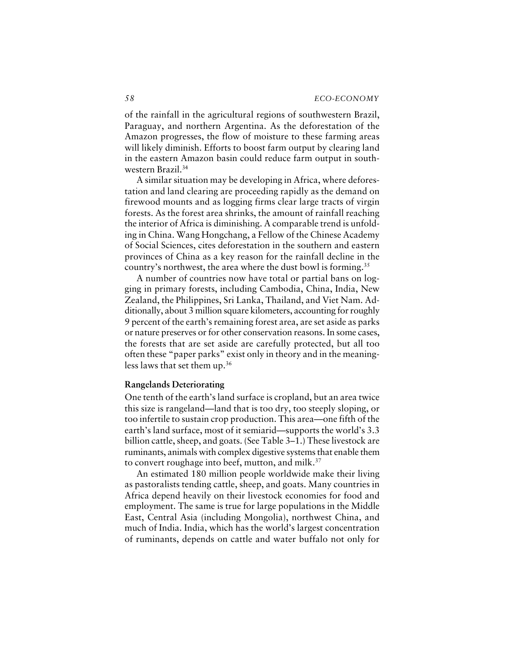of the rainfall in the agricultural regions of southwestern Brazil, Paraguay, and northern Argentina. As the deforestation of the Amazon progresses, the flow of moisture to these farming areas will likely diminish. Efforts to boost farm output by clearing land in the eastern Amazon basin could reduce farm output in southwestern Brazil.<sup>34</sup>

A similar situation may be developing in Africa, where deforestation and land clearing are proceeding rapidly as the demand on firewood mounts and as logging firms clear large tracts of virgin forests. As the forest area shrinks, the amount of rainfall reaching the interior of Africa is diminishing. A comparable trend is unfolding in China. Wang Hongchang, a Fellow of the Chinese Academy of Social Sciences, cites deforestation in the southern and eastern provinces of China as a key reason for the rainfall decline in the country's northwest, the area where the dust bowl is forming.<sup>35</sup>

A number of countries now have total or partial bans on logging in primary forests, including Cambodia, China, India, New Zealand, the Philippines, Sri Lanka, Thailand, and Viet Nam. Additionally, about 3 million square kilometers, accounting for roughly 9 percent of the earth's remaining forest area, are set aside as parks or nature preserves or for other conservation reasons. In some cases, the forests that are set aside are carefully protected, but all too often these "paper parks" exist only in theory and in the meaningless laws that set them up.<sup>36</sup>

## **Rangelands Deteriorating**

One tenth of the earth's land surface is cropland, but an area twice this size is rangeland—land that is too dry, too steeply sloping, or too infertile to sustain crop production. This area—one fifth of the earth's land surface, most of it semiarid—supports the world's 3.3 billion cattle, sheep, and goats. (See Table 3–1.) These livestock are ruminants, animals with complex digestive systems that enable them to convert roughage into beef, mutton, and milk.<sup>37</sup>

An estimated 180 million people worldwide make their living as pastoralists tending cattle, sheep, and goats. Many countries in Africa depend heavily on their livestock economies for food and employment. The same is true for large populations in the Middle East, Central Asia (including Mongolia), northwest China, and much of India. India, which has the world's largest concentration of ruminants, depends on cattle and water buffalo not only for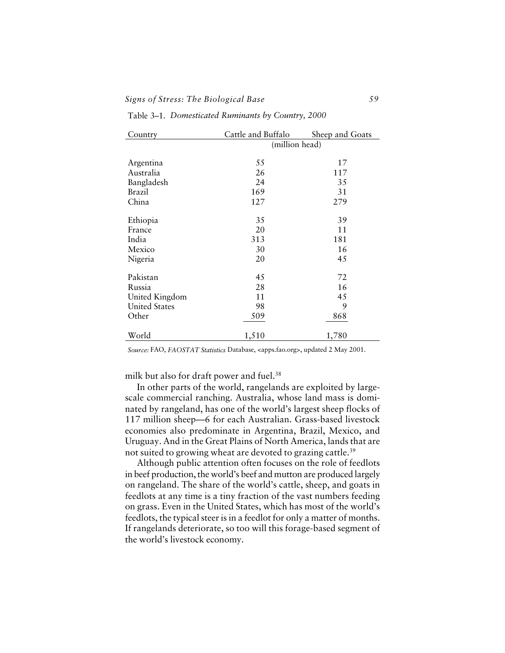## *Signs of Stress: The Biological Base 59*

| Country              | Cattle and Buffalo | Sheep and Goats |  |  |  |
|----------------------|--------------------|-----------------|--|--|--|
|                      |                    | (million head)  |  |  |  |
|                      |                    |                 |  |  |  |
| Argentina            | 55                 | 17              |  |  |  |
| Australia            | 26                 | 117             |  |  |  |
| Bangladesh           | 24                 | 35              |  |  |  |
| Brazil               | 169                | 31              |  |  |  |
| China                | 127                | 279             |  |  |  |
| Ethiopia             | 35                 | 39              |  |  |  |
| France               | 20                 | 11              |  |  |  |
| India                | 313                | 181             |  |  |  |
| Mexico               | 30                 | 16              |  |  |  |
| Nigeria              | 20                 | 45              |  |  |  |
| Pakistan             | 45                 | 72              |  |  |  |
| Russia               | 28                 | 16              |  |  |  |
| United Kingdom       | 11                 | 45              |  |  |  |
| <b>United States</b> | 98                 | 9               |  |  |  |
| Other                | 509                | 868             |  |  |  |
| World                | 1,510              | 1,780           |  |  |  |
|                      |                    |                 |  |  |  |

Table 3–1. *Domesticated Ruminants by Country, 2000*

*Source:* FAO, *FAOSTAT Statistics* Database, <apps.fao.org>, updated 2 May 2001.

milk but also for draft power and fuel.<sup>38</sup>

In other parts of the world, rangelands are exploited by largescale commercial ranching. Australia, whose land mass is dominated by rangeland, has one of the world's largest sheep flocks of 117 million sheep—6 for each Australian. Grass-based livestock economies also predominate in Argentina, Brazil, Mexico, and Uruguay. And in the Great Plains of North America, lands that are not suited to growing wheat are devoted to grazing cattle.<sup>39</sup>

Although public attention often focuses on the role of feedlots in beef production, the world's beef and mutton are produced largely on rangeland. The share of the world's cattle, sheep, and goats in feedlots at any time is a tiny fraction of the vast numbers feeding on grass. Even in the United States, which has most of the world's feedlots, the typical steer is in a feedlot for only a matter of months. If rangelands deteriorate, so too will this forage-based segment of the world's livestock economy.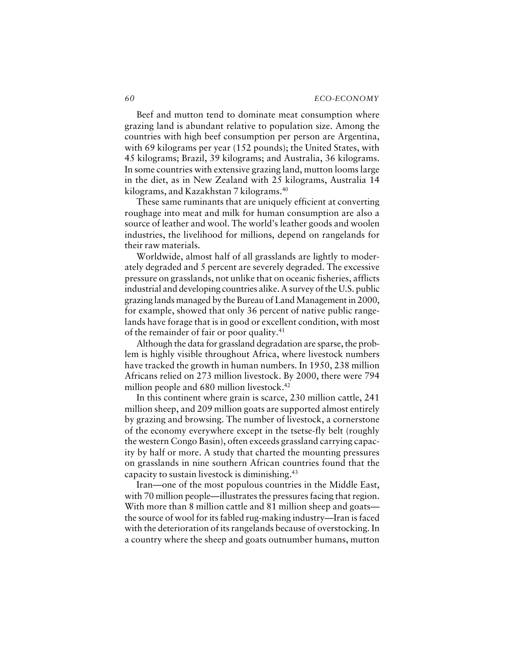#### *60 ECO-ECONOMY*

Beef and mutton tend to dominate meat consumption where grazing land is abundant relative to population size. Among the countries with high beef consumption per person are Argentina, with 69 kilograms per year (152 pounds); the United States, with 45 kilograms; Brazil, 39 kilograms; and Australia, 36 kilograms. In some countries with extensive grazing land, mutton looms large in the diet, as in New Zealand with 25 kilograms, Australia 14 kilograms, and Kazakhstan 7 kilograms.<sup>40</sup>

These same ruminants that are uniquely efficient at converting roughage into meat and milk for human consumption are also a source of leather and wool. The world's leather goods and woolen industries, the livelihood for millions, depend on rangelands for their raw materials.

Worldwide, almost half of all grasslands are lightly to moderately degraded and 5 percent are severely degraded. The excessive pressure on grasslands, not unlike that on oceanic fisheries, afflicts industrial and developing countries alike. A survey of the U.S. public grazing lands managed by the Bureau of Land Management in 2000, for example, showed that only 36 percent of native public rangelands have forage that is in good or excellent condition, with most of the remainder of fair or poor quality.<sup>41</sup>

Although the data for grassland degradation are sparse, the problem is highly visible throughout Africa, where livestock numbers have tracked the growth in human numbers. In 1950, 238 million Africans relied on 273 million livestock. By 2000, there were 794 million people and 680 million livestock.<sup>42</sup>

In this continent where grain is scarce, 230 million cattle, 241 million sheep, and 209 million goats are supported almost entirely by grazing and browsing. The number of livestock, a cornerstone of the economy everywhere except in the tsetse-fly belt (roughly the western Congo Basin), often exceeds grassland carrying capacity by half or more. A study that charted the mounting pressures on grasslands in nine southern African countries found that the capacity to sustain livestock is diminishing.<sup>43</sup>

Iran—one of the most populous countries in the Middle East, with 70 million people—illustrates the pressures facing that region. With more than 8 million cattle and 81 million sheep and goats the source of wool for its fabled rug-making industry—Iran is faced with the deterioration of its rangelands because of overstocking. In a country where the sheep and goats outnumber humans, mutton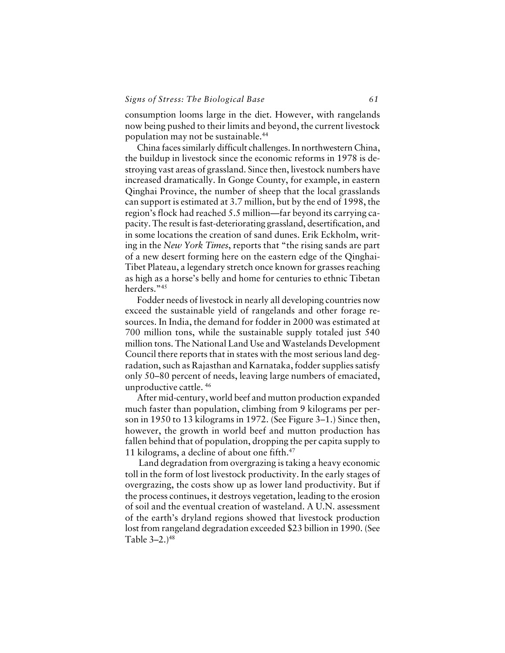# *Signs of Stress: The Biological Base 61*

consumption looms large in the diet. However, with rangelands now being pushed to their limits and beyond, the current livestock population may not be sustainable.<sup>44</sup>

China faces similarly difficult challenges. In northwestern China, the buildup in livestock since the economic reforms in 1978 is destroying vast areas of grassland. Since then, livestock numbers have increased dramatically. In Gonge County, for example, in eastern Qinghai Province, the number of sheep that the local grasslands can support is estimated at 3.7 million, but by the end of 1998, the region's flock had reached 5.5 million—far beyond its carrying capacity. The result is fast-deteriorating grassland, desertification, and in some locations the creation of sand dunes. Erik Eckholm, writing in the *New York Times*, reports that "the rising sands are part of a new desert forming here on the eastern edge of the Qinghai-Tibet Plateau, a legendary stretch once known for grasses reaching as high as a horse's belly and home for centuries to ethnic Tibetan herders."45

Fodder needs of livestock in nearly all developing countries now exceed the sustainable yield of rangelands and other forage resources. In India, the demand for fodder in 2000 was estimated at 700 million tons, while the sustainable supply totaled just 540 million tons. The National Land Use and Wastelands Development Council there reports that in states with the most serious land degradation, such as Rajasthan and Karnataka, fodder supplies satisfy only 50–80 percent of needs, leaving large numbers of emaciated, unproductive cattle. <sup>46</sup>

After mid-century, world beef and mutton production expanded much faster than population, climbing from 9 kilograms per person in 1950 to 13 kilograms in 1972. (See Figure 3–1.) Since then, however, the growth in world beef and mutton production has fallen behind that of population, dropping the per capita supply to 11 kilograms, a decline of about one fifth.<sup>47</sup>

 Land degradation from overgrazing is taking a heavy economic toll in the form of lost livestock productivity. In the early stages of overgrazing, the costs show up as lower land productivity. But if the process continues, it destroys vegetation, leading to the erosion of soil and the eventual creation of wasteland. A U.N. assessment of the earth's dryland regions showed that livestock production lost from rangeland degradation exceeded \$23 billion in 1990. (See Table 3-2.)<sup>48</sup>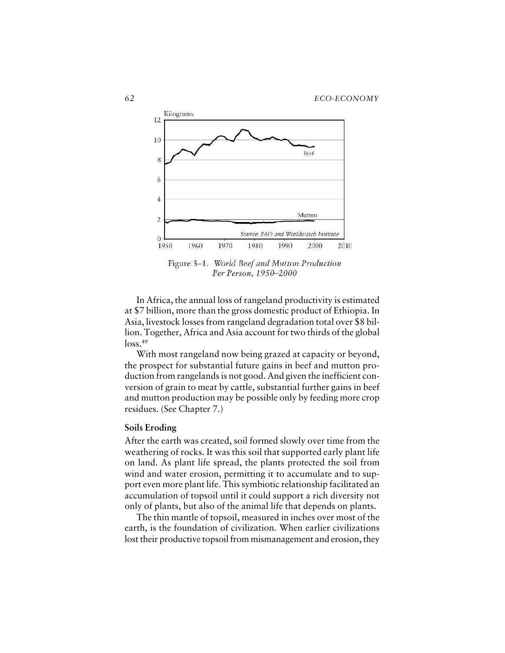

Figure 3-1. World Beef and Mutton Production Per Person, 1950-2000

In Africa, the annual loss of rangeland productivity is estimated at \$7 billion, more than the gross domestic product of Ethiopia. In Asia, livestock losses from rangeland degradation total over \$8 billion. Together, Africa and Asia account for two thirds of the global  $loss.<sup>49</sup>$ 

With most rangeland now being grazed at capacity or beyond, the prospect for substantial future gains in beef and mutton production from rangelands is not good. And given the inefficient conversion of grain to meat by cattle, substantial further gains in beef and mutton production may be possible only by feeding more crop residues. (See Chapter 7.)

### **Soils Eroding**

After the earth was created, soil formed slowly over time from the weathering of rocks. It was this soil that supported early plant life on land. As plant life spread, the plants protected the soil from wind and water erosion, permitting it to accumulate and to support even more plant life. This symbiotic relationship facilitated an accumulation of topsoil until it could support a rich diversity not only of plants, but also of the animal life that depends on plants.

The thin mantle of topsoil, measured in inches over most of the earth, is the foundation of civilization. When earlier civilizations lost their productive topsoil from mismanagement and erosion, they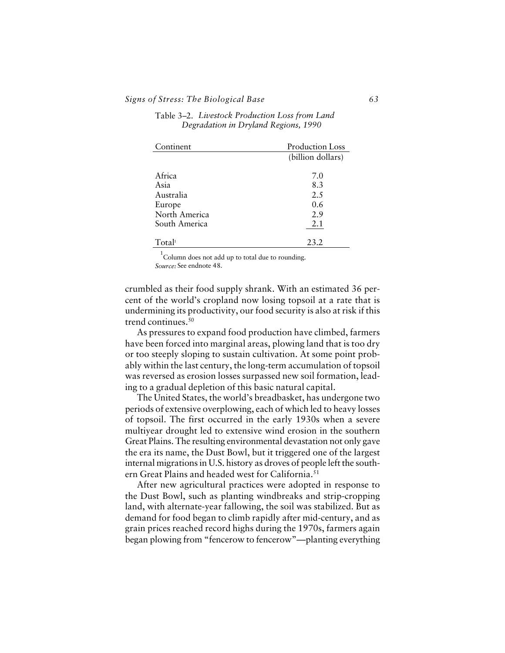| Continent     | Production Loss   |
|---------------|-------------------|
|               | (billion dollars) |
|               |                   |
| Africa        | 7.0               |
| Asia          | 8.3               |
| Australia     | 2.5               |
| Europe        | 0.6               |
| North America | 2.9               |
| South America | 2.1               |
|               |                   |
| Total         | 23.2              |

| Table 3–2.  Livestock Production Loss from Land |                                      |  |
|-------------------------------------------------|--------------------------------------|--|
|                                                 | Degradation in Dryland Regions, 1990 |  |

 $1$ Column does not add up to total due to rounding. *Source:* See endnote 48.

crumbled as their food supply shrank. With an estimated 36 percent of the world's cropland now losing topsoil at a rate that is undermining its productivity, our food security is also at risk if this trend continues.<sup>50</sup>

As pressures to expand food production have climbed, farmers have been forced into marginal areas, plowing land that is too dry or too steeply sloping to sustain cultivation. At some point probably within the last century, the long-term accumulation of topsoil was reversed as erosion losses surpassed new soil formation, leading to a gradual depletion of this basic natural capital.

The United States, the world's breadbasket, has undergone two periods of extensive overplowing, each of which led to heavy losses of topsoil. The first occurred in the early 1930s when a severe multiyear drought led to extensive wind erosion in the southern Great Plains. The resulting environmental devastation not only gave the era its name, the Dust Bowl, but it triggered one of the largest internal migrations in U.S. history as droves of people left the southern Great Plains and headed west for California.<sup>51</sup>

After new agricultural practices were adopted in response to the Dust Bowl, such as planting windbreaks and strip-cropping land, with alternate-year fallowing, the soil was stabilized. But as demand for food began to climb rapidly after mid-century, and as grain prices reached record highs during the 1970s, farmers again began plowing from "fencerow to fencerow"—planting everything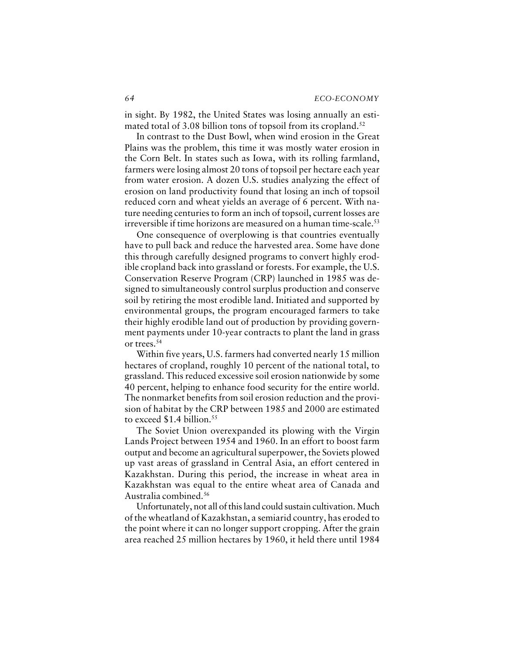in sight. By 1982, the United States was losing annually an estimated total of 3.08 billion tons of topsoil from its cropland.<sup>52</sup>

In contrast to the Dust Bowl, when wind erosion in the Great Plains was the problem, this time it was mostly water erosion in the Corn Belt. In states such as Iowa, with its rolling farmland, farmers were losing almost 20 tons of topsoil per hectare each year from water erosion. A dozen U.S. studies analyzing the effect of erosion on land productivity found that losing an inch of topsoil reduced corn and wheat yields an average of 6 percent. With nature needing centuries to form an inch of topsoil, current losses are irreversible if time horizons are measured on a human time-scale.<sup>53</sup>

One consequence of overplowing is that countries eventually have to pull back and reduce the harvested area. Some have done this through carefully designed programs to convert highly erodible cropland back into grassland or forests. For example, the U.S. Conservation Reserve Program (CRP) launched in 1985 was designed to simultaneously control surplus production and conserve soil by retiring the most erodible land. Initiated and supported by environmental groups, the program encouraged farmers to take their highly erodible land out of production by providing government payments under 10-year contracts to plant the land in grass or trees.<sup>54</sup>

Within five years, U.S. farmers had converted nearly 15 million hectares of cropland, roughly 10 percent of the national total, to grassland. This reduced excessive soil erosion nationwide by some 40 percent, helping to enhance food security for the entire world. The nonmarket benefits from soil erosion reduction and the provision of habitat by the CRP between 1985 and 2000 are estimated to exceed  $$1.4$  billion.<sup>55</sup>

The Soviet Union overexpanded its plowing with the Virgin Lands Project between 1954 and 1960. In an effort to boost farm output and become an agricultural superpower, the Soviets plowed up vast areas of grassland in Central Asia, an effort centered in Kazakhstan. During this period, the increase in wheat area in Kazakhstan was equal to the entire wheat area of Canada and Australia combined.<sup>56</sup>

Unfortunately, not all of this land could sustain cultivation. Much of the wheatland of Kazakhstan, a semiarid country, has eroded to the point where it can no longer support cropping. After the grain area reached 25 million hectares by 1960, it held there until 1984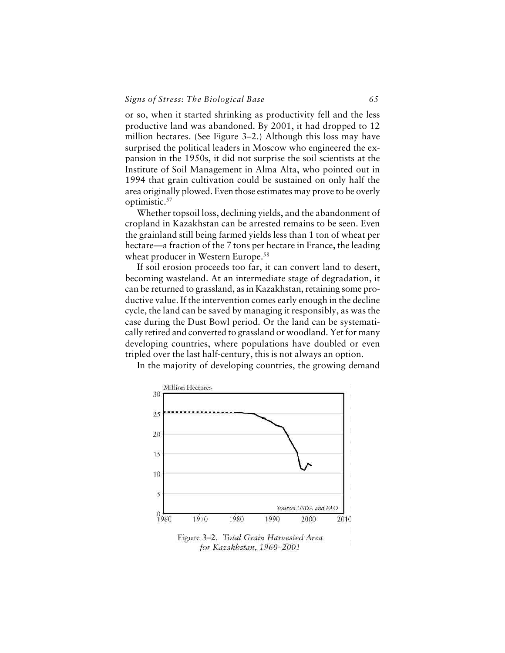or so, when it started shrinking as productivity fell and the less productive land was abandoned. By 2001, it had dropped to 12 million hectares. (See Figure 3–2.) Although this loss may have surprised the political leaders in Moscow who engineered the expansion in the 1950s, it did not surprise the soil scientists at the Institute of Soil Management in Alma Alta, who pointed out in 1994 that grain cultivation could be sustained on only half the area originally plowed. Even those estimates may prove to be overly optimistic.<sup>57</sup>

Whether topsoil loss, declining yields, and the abandonment of cropland in Kazakhstan can be arrested remains to be seen. Even the grainland still being farmed yields less than 1 ton of wheat per hectare—a fraction of the 7 tons per hectare in France, the leading wheat producer in Western Europe.<sup>58</sup>

If soil erosion proceeds too far, it can convert land to desert, becoming wasteland. At an intermediate stage of degradation, it can be returned to grassland, as in Kazakhstan, retaining some productive value. If the intervention comes early enough in the decline cycle, the land can be saved by managing it responsibly, as was the case during the Dust Bowl period. Or the land can be systematically retired and converted to grassland or woodland. Yet for many developing countries, where populations have doubled or even tripled over the last half-century, this is not always an option.

In the majority of developing countries, the growing demand

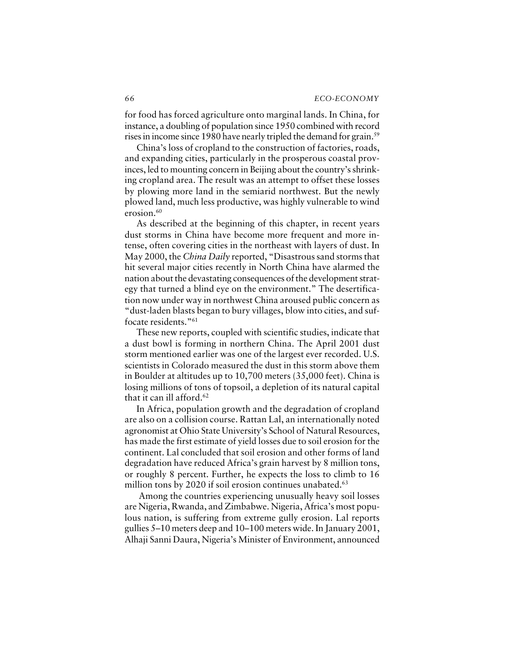for food has forced agriculture onto marginal lands. In China, for instance, a doubling of population since 1950 combined with record rises in income since 1980 have nearly tripled the demand for grain.<sup>59</sup>

China's loss of cropland to the construction of factories, roads, and expanding cities, particularly in the prosperous coastal provinces, led to mounting concern in Beijing about the country's shrinking cropland area. The result was an attempt to offset these losses by plowing more land in the semiarid northwest. But the newly plowed land, much less productive, was highly vulnerable to wind erosion.<sup>60</sup>

As described at the beginning of this chapter, in recent years dust storms in China have become more frequent and more intense, often covering cities in the northeast with layers of dust. In May 2000, the *China Daily* reported, "Disastrous sand storms that hit several major cities recently in North China have alarmed the nation about the devastating consequences of the development strategy that turned a blind eye on the environment." The desertification now under way in northwest China aroused public concern as "dust-laden blasts began to bury villages, blow into cities, and suffocate residents."<sup>61</sup>

These new reports, coupled with scientific studies, indicate that a dust bowl is forming in northern China. The April 2001 dust storm mentioned earlier was one of the largest ever recorded. U.S. scientists in Colorado measured the dust in this storm above them in Boulder at altitudes up to 10,700 meters (35,000 feet). China is losing millions of tons of topsoil, a depletion of its natural capital that it can ill afford. $62$ 

In Africa, population growth and the degradation of cropland are also on a collision course. Rattan Lal, an internationally noted agronomist at Ohio State University's School of Natural Resources, has made the first estimate of yield losses due to soil erosion for the continent. Lal concluded that soil erosion and other forms of land degradation have reduced Africa's grain harvest by 8 million tons, or roughly 8 percent. Further, he expects the loss to climb to 16 million tons by 2020 if soil erosion continues unabated.<sup>63</sup>

 Among the countries experiencing unusually heavy soil losses are Nigeria, Rwanda, and Zimbabwe. Nigeria, Africa's most populous nation, is suffering from extreme gully erosion. Lal reports gullies 5–10 meters deep and 10–100 meters wide. In January 2001, Alhaji Sanni Daura, Nigeria's Minister of Environment, announced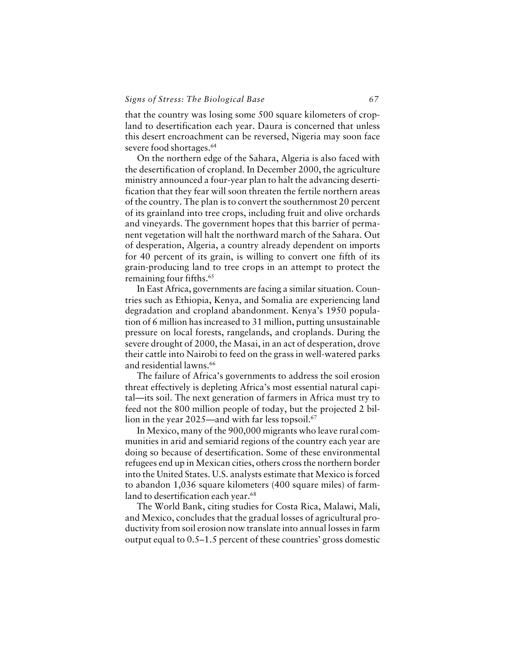that the country was losing some 500 square kilometers of cropland to desertification each year. Daura is concerned that unless this desert encroachment can be reversed, Nigeria may soon face severe food shortages.<sup>64</sup>

On the northern edge of the Sahara, Algeria is also faced with the desertification of cropland. In December 2000, the agriculture ministry announced a four-year plan to halt the advancing desertification that they fear will soon threaten the fertile northern areas of the country. The plan is to convert the southernmost 20 percent of its grainland into tree crops, including fruit and olive orchards and vineyards. The government hopes that this barrier of permanent vegetation will halt the northward march of the Sahara. Out of desperation, Algeria, a country already dependent on imports for 40 percent of its grain, is willing to convert one fifth of its grain-producing land to tree crops in an attempt to protect the remaining four fifths.<sup>65</sup>

In East Africa, governments are facing a similar situation. Countries such as Ethiopia, Kenya, and Somalia are experiencing land degradation and cropland abandonment. Kenya's 1950 population of 6 million has increased to 31 million, putting unsustainable pressure on local forests, rangelands, and croplands. During the severe drought of 2000, the Masai, in an act of desperation, drove their cattle into Nairobi to feed on the grass in well-watered parks and residential lawns.<sup>66</sup>

The failure of Africa's governments to address the soil erosion threat effectively is depleting Africa's most essential natural capital—its soil. The next generation of farmers in Africa must try to feed not the 800 million people of today, but the projected 2 billion in the year 2025—and with far less topsoil.<sup>67</sup>

In Mexico, many of the 900,000 migrants who leave rural communities in arid and semiarid regions of the country each year are doing so because of desertification. Some of these environmental refugees end up in Mexican cities, others cross the northern border into the United States. U.S. analysts estimate that Mexico is forced to abandon 1,036 square kilometers (400 square miles) of farmland to desertification each year.<sup>68</sup>

The World Bank, citing studies for Costa Rica, Malawi, Mali, and Mexico, concludes that the gradual losses of agricultural productivity from soil erosion now translate into annual losses in farm output equal to 0.5–1.5 percent of these countries' gross domestic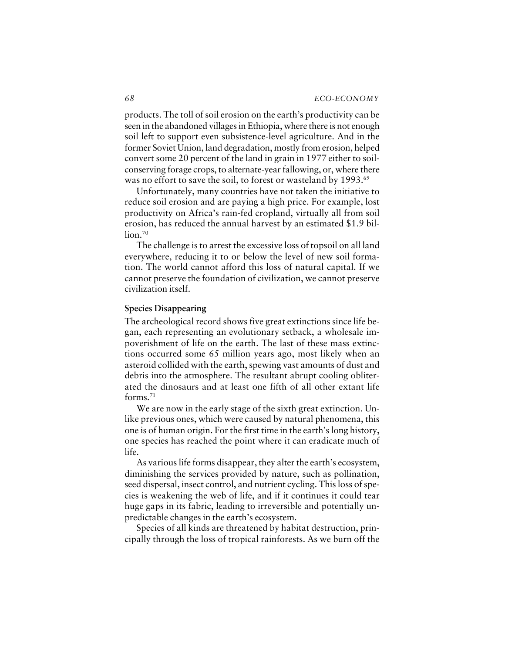products. The toll of soil erosion on the earth's productivity can be seen in the abandoned villages in Ethiopia, where there is not enough soil left to support even subsistence-level agriculture. And in the former Soviet Union, land degradation, mostly from erosion, helped convert some 20 percent of the land in grain in 1977 either to soilconserving forage crops, to alternate-year fallowing, or, where there was no effort to save the soil, to forest or wasteland by 1993.<sup>69</sup>

Unfortunately, many countries have not taken the initiative to reduce soil erosion and are paying a high price. For example, lost productivity on Africa's rain-fed cropland, virtually all from soil erosion, has reduced the annual harvest by an estimated \$1.9 billion.<sup>70</sup>

The challenge is to arrest the excessive loss of topsoil on all land everywhere, reducing it to or below the level of new soil formation. The world cannot afford this loss of natural capital. If we cannot preserve the foundation of civilization, we cannot preserve civilization itself.

# **Species Disappearing**

The archeological record shows five great extinctions since life began, each representing an evolutionary setback, a wholesale impoverishment of life on the earth. The last of these mass extinctions occurred some 65 million years ago, most likely when an asteroid collided with the earth, spewing vast amounts of dust and debris into the atmosphere. The resultant abrupt cooling obliterated the dinosaurs and at least one fifth of all other extant life forms. $71$ 

We are now in the early stage of the sixth great extinction. Unlike previous ones, which were caused by natural phenomena, this one is of human origin. For the first time in the earth's long history, one species has reached the point where it can eradicate much of life.

As various life forms disappear, they alter the earth's ecosystem, diminishing the services provided by nature, such as pollination, seed dispersal, insect control, and nutrient cycling. This loss of species is weakening the web of life, and if it continues it could tear huge gaps in its fabric, leading to irreversible and potentially unpredictable changes in the earth's ecosystem.

Species of all kinds are threatened by habitat destruction, principally through the loss of tropical rainforests. As we burn off the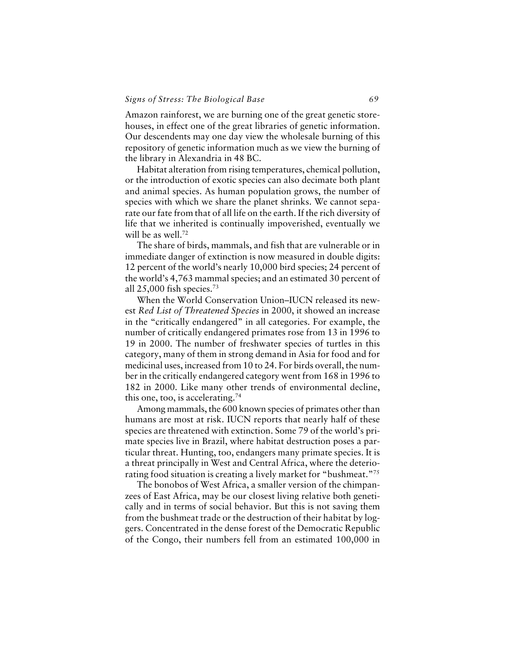# *Signs of Stress: The Biological Base 69*

Amazon rainforest, we are burning one of the great genetic storehouses, in effect one of the great libraries of genetic information. Our descendents may one day view the wholesale burning of this repository of genetic information much as we view the burning of the library in Alexandria in 48 BC.

Habitat alteration from rising temperatures, chemical pollution, or the introduction of exotic species can also decimate both plant and animal species. As human population grows, the number of species with which we share the planet shrinks. We cannot separate our fate from that of all life on the earth. If the rich diversity of life that we inherited is continually impoverished, eventually we will be as well.<sup>72</sup>

The share of birds, mammals, and fish that are vulnerable or in immediate danger of extinction is now measured in double digits: 12 percent of the world's nearly 10,000 bird species; 24 percent of the world's 4,763 mammal species; and an estimated 30 percent of all  $25,000$  fish species.<sup>73</sup>

When the World Conservation Union–IUCN released its newest *Red List of Threatened Species* in 2000, it showed an increase in the "critically endangered" in all categories. For example, the number of critically endangered primates rose from 13 in 1996 to 19 in 2000. The number of freshwater species of turtles in this category, many of them in strong demand in Asia for food and for medicinal uses, increased from 10 to 24. For birds overall, the number in the critically endangered category went from 168 in 1996 to 182 in 2000. Like many other trends of environmental decline, this one, too, is accelerating.<sup>74</sup>

Among mammals, the 600 known species of primates other than humans are most at risk. IUCN reports that nearly half of these species are threatened with extinction. Some 79 of the world's primate species live in Brazil, where habitat destruction poses a particular threat. Hunting, too, endangers many primate species. It is a threat principally in West and Central Africa, where the deteriorating food situation is creating a lively market for "bushmeat."<sup>75</sup>

The bonobos of West Africa, a smaller version of the chimpanzees of East Africa, may be our closest living relative both genetically and in terms of social behavior. But this is not saving them from the bushmeat trade or the destruction of their habitat by loggers. Concentrated in the dense forest of the Democratic Republic of the Congo, their numbers fell from an estimated 100,000 in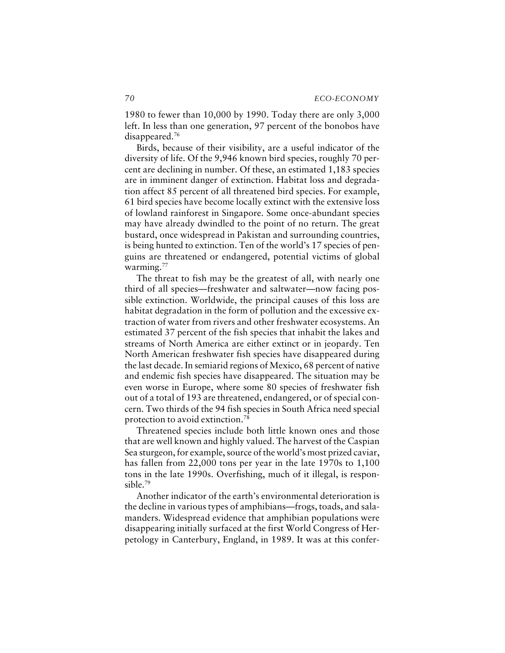1980 to fewer than 10,000 by 1990. Today there are only 3,000 left. In less than one generation, 97 percent of the bonobos have disappeared.<sup>76</sup>

Birds, because of their visibility, are a useful indicator of the diversity of life. Of the 9,946 known bird species, roughly 70 percent are declining in number. Of these, an estimated 1,183 species are in imminent danger of extinction. Habitat loss and degradation affect 85 percent of all threatened bird species. For example, 61 bird species have become locally extinct with the extensive loss of lowland rainforest in Singapore. Some once-abundant species may have already dwindled to the point of no return. The great bustard, once widespread in Pakistan and surrounding countries, is being hunted to extinction. Ten of the world's 17 species of penguins are threatened or endangered, potential victims of global warming.<sup>77</sup>

The threat to fish may be the greatest of all, with nearly one third of all species—freshwater and saltwater—now facing possible extinction. Worldwide, the principal causes of this loss are habitat degradation in the form of pollution and the excessive extraction of water from rivers and other freshwater ecosystems. An estimated 37 percent of the fish species that inhabit the lakes and streams of North America are either extinct or in jeopardy. Ten North American freshwater fish species have disappeared during the last decade. In semiarid regions of Mexico, 68 percent of native and endemic fish species have disappeared. The situation may be even worse in Europe, where some 80 species of freshwater fish out of a total of 193 are threatened, endangered, or of special concern. Two thirds of the 94 fish species in South Africa need special protection to avoid extinction.<sup>78</sup>

Threatened species include both little known ones and those that are well known and highly valued. The harvest of the Caspian Sea sturgeon, for example, source of the world's most prized caviar, has fallen from 22,000 tons per year in the late 1970s to 1,100 tons in the late 1990s. Overfishing, much of it illegal, is responsible.<sup>79</sup>

Another indicator of the earth's environmental deterioration is the decline in various types of amphibians—frogs, toads, and salamanders. Widespread evidence that amphibian populations were disappearing initially surfaced at the first World Congress of Herpetology in Canterbury, England, in 1989. It was at this confer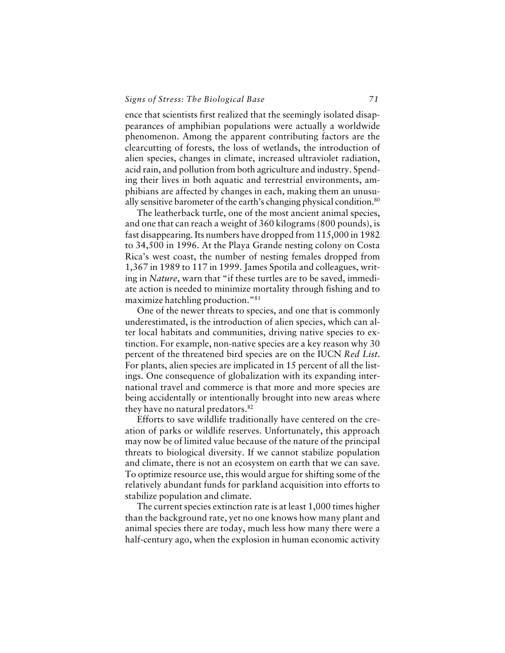ence that scientists first realized that the seemingly isolated disappearances of amphibian populations were actually a worldwide phenomenon. Among the apparent contributing factors are the clearcutting of forests, the loss of wetlands, the introduction of alien species, changes in climate, increased ultraviolet radiation, acid rain, and pollution from both agriculture and industry. Spending their lives in both aquatic and terrestrial environments, amphibians are affected by changes in each, making them an unusually sensitive barometer of the earth's changing physical condition.<sup>80</sup>

The leatherback turtle, one of the most ancient animal species, and one that can reach a weight of 360 kilograms (800 pounds), is fast disappearing. Its numbers have dropped from 115,000 in 1982 to 34,500 in 1996. At the Playa Grande nesting colony on Costa Rica's west coast, the number of nesting females dropped from 1,367 in 1989 to 117 in 1999. James Spotila and colleagues, writing in *Nature*, warn that "if these turtles are to be saved, immediate action is needed to minimize mortality through fishing and to maximize hatchling production."<sup>81</sup>

One of the newer threats to species, and one that is commonly underestimated, is the introduction of alien species, which can alter local habitats and communities, driving native species to extinction. For example, non-native species are a key reason why 30 percent of the threatened bird species are on the IUCN *Red List*. For plants, alien species are implicated in 15 percent of all the listings. One consequence of globalization with its expanding international travel and commerce is that more and more species are being accidentally or intentionally brought into new areas where they have no natural predators.<sup>82</sup>

Efforts to save wildlife traditionally have centered on the creation of parks or wildlife reserves. Unfortunately, this approach may now be of limited value because of the nature of the principal threats to biological diversity. If we cannot stabilize population and climate, there is not an ecosystem on earth that we can save. To optimize resource use, this would argue for shifting some of the relatively abundant funds for parkland acquisition into efforts to stabilize population and climate.

The current species extinction rate is at least 1,000 times higher than the background rate, yet no one knows how many plant and animal species there are today, much less how many there were a half-century ago, when the explosion in human economic activity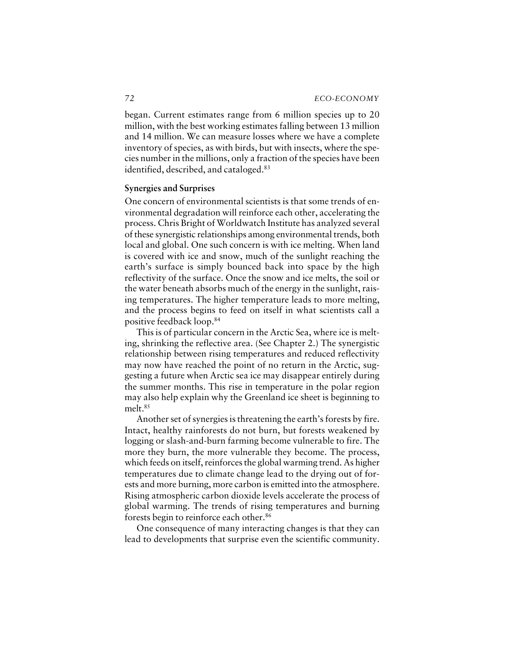began. Current estimates range from 6 million species up to 20 million, with the best working estimates falling between 13 million and 14 million. We can measure losses where we have a complete inventory of species, as with birds, but with insects, where the species number in the millions, only a fraction of the species have been identified, described, and cataloged.<sup>83</sup>

# **Synergies and Surprises**

One concern of environmental scientists is that some trends of environmental degradation will reinforce each other, accelerating the process. Chris Bright of Worldwatch Institute has analyzed several of these synergistic relationships among environmental trends, both local and global. One such concern is with ice melting. When land is covered with ice and snow, much of the sunlight reaching the earth's surface is simply bounced back into space by the high reflectivity of the surface. Once the snow and ice melts, the soil or the water beneath absorbs much of the energy in the sunlight, raising temperatures. The higher temperature leads to more melting, and the process begins to feed on itself in what scientists call a positive feedback loop.<sup>84</sup>

This is of particular concern in the Arctic Sea, where ice is melting, shrinking the reflective area. (See Chapter 2.) The synergistic relationship between rising temperatures and reduced reflectivity may now have reached the point of no return in the Arctic, suggesting a future when Arctic sea ice may disappear entirely during the summer months. This rise in temperature in the polar region may also help explain why the Greenland ice sheet is beginning to melt.<sup>85</sup>

Another set of synergies is threatening the earth's forests by fire. Intact, healthy rainforests do not burn, but forests weakened by logging or slash-and-burn farming become vulnerable to fire. The more they burn, the more vulnerable they become. The process, which feeds on itself, reinforces the global warming trend. As higher temperatures due to climate change lead to the drying out of forests and more burning, more carbon is emitted into the atmosphere. Rising atmospheric carbon dioxide levels accelerate the process of global warming. The trends of rising temperatures and burning forests begin to reinforce each other.<sup>86</sup>

One consequence of many interacting changes is that they can lead to developments that surprise even the scientific community.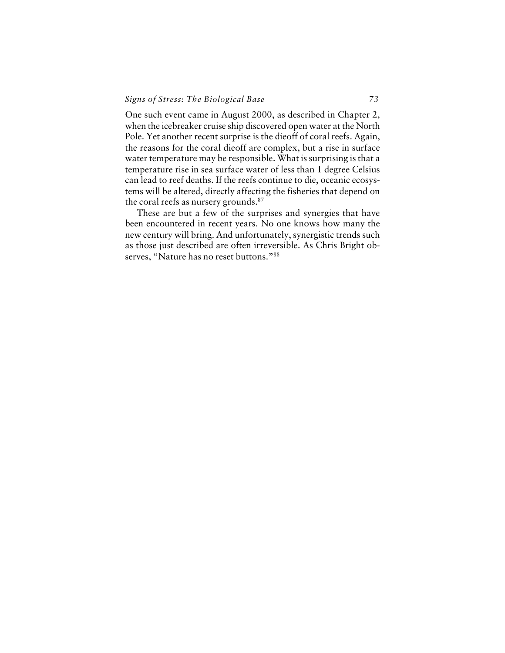One such event came in August 2000, as described in Chapter 2, when the icebreaker cruise ship discovered open water at the North Pole. Yet another recent surprise is the dieoff of coral reefs. Again, the reasons for the coral dieoff are complex, but a rise in surface water temperature may be responsible. What is surprising is that a temperature rise in sea surface water of less than 1 degree Celsius can lead to reef deaths. If the reefs continue to die, oceanic ecosystems will be altered, directly affecting the fisheries that depend on the coral reefs as nursery grounds.<sup>87</sup>

These are but a few of the surprises and synergies that have been encountered in recent years. No one knows how many the new century will bring. And unfortunately, synergistic trends such as those just described are often irreversible. As Chris Bright observes, "Nature has no reset buttons."88